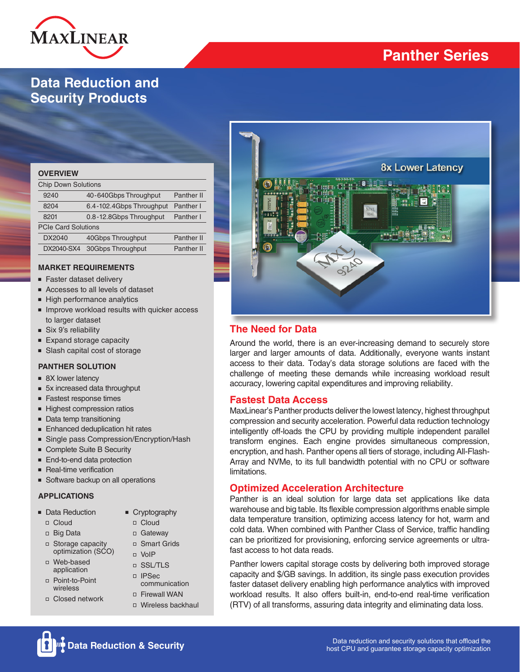

# **Panther Series**

# **Data Reduction and Security Products**

| <b>OVERVIEW</b>            |                          |                   |  |  |  |  |  |  |  |
|----------------------------|--------------------------|-------------------|--|--|--|--|--|--|--|
| <b>Chip Down Solutions</b> |                          |                   |  |  |  |  |  |  |  |
| 9240                       | 40-640Gbps Throughput    | <b>Panther II</b> |  |  |  |  |  |  |  |
| 8204                       | 6.4-102.4Gbps Throughput | Panther I         |  |  |  |  |  |  |  |
| 8201                       | 0.8-12.8Gbps Throughput  | Panther I         |  |  |  |  |  |  |  |
| <b>PCIe Card Solutions</b> |                          |                   |  |  |  |  |  |  |  |
| DX2040                     | 40Gbps Throughput        | <b>Panther II</b> |  |  |  |  |  |  |  |
| DX2040-SX4                 | 30Gbps Throughput        | <b>Panther II</b> |  |  |  |  |  |  |  |
|                            |                          |                   |  |  |  |  |  |  |  |

#### **MARKET REQUIREMENTS**

- Faster dataset delivery
- Accesses to all levels of dataset
- High performance analytics
- Improve workload results with quicker access to larger dataset
- Six 9's reliability
- Expand storage capacity
- Slash capital cost of storage

#### **PANTHER SOLUTION**

- 8X lower latency
- 5x increased data throughput
- Fastest response times
- Highest compression ratios
- Data temp transitioning
- Enhanced deduplication hit rates
- Single pass Compression/Encryption/Hash
- Complete Suite B Security
- End-to-end data protection
- Real-time verification
- Software backup on all operations

#### **APPLICATIONS**

- Data Reduction
- Cloud
- Big Data
- □ Storage capacity optimization (SCO)
- Web-based application
- Point-to-Point wireless
- □ Closed network
- Cryptography
- Cloud
	- Gateway
	- □ Smart Grids
	-
	- SSL/TLS
	- IPSec communication
	- Firewall WAN
	- □ Wireless backhaul



## **The Need for Data**

Around the world, there is an ever-increasing demand to securely store larger and larger amounts of data. Additionally, everyone wants instant access to their data. Today's data storage solutions are faced with the challenge of meeting these demands while increasing workload result accuracy, lowering capital expenditures and improving reliability.

### **Fastest Data Access**

MaxLinear's Panther products deliver the lowest latency, highest throughput compression and security acceleration. Powerful data reduction technology intelligently off-loads the CPU by providing multiple independent parallel transform engines. Each engine provides simultaneous compression, encryption, and hash. Panther opens all tiers of storage, including All-Flash-Array and NVMe, to its full bandwidth potential with no CPU or software limitations.

### **Optimized Acceleration Architecture**

Panther is an ideal solution for large data set applications like data warehouse and big table. Its flexible compression algorithms enable simple data temperature transition, optimizing access latency for hot, warm and cold data. When combined with Panther Class of Service, traffic handling can be prioritized for provisioning, enforcing service agreements or ultrafast access to hot data reads.

Panther lowers capital storage costs by delivering both improved storage capacity and \$/GB savings. In addition, its single pass execution provides faster dataset delivery enabling high performance analytics with improved workload results. It also offers built-in, end-to-end real-time verification (RTV) of all transforms, assuring data integrity and eliminating data loss.

- -
	-
	-
- VoIP
	-
	-